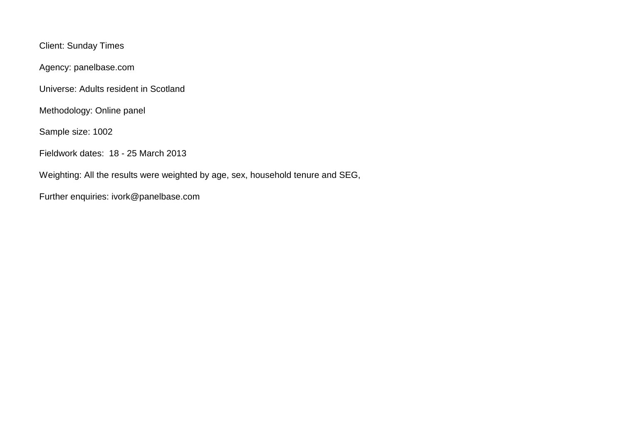Client: Sunday Times

Agency: panelbase.com

Universe: Adults resident in Scotland

Methodology: Online panel

Sample size: 1002

Fieldwork dates: 18 - 25 March 2013

Weighting: All the results were weighted by age, sex, household tenure and SEG,

Further enquiries: ivork@panelbase.com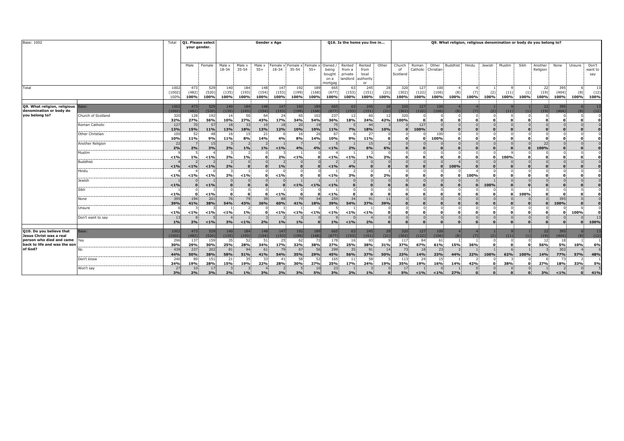| Base: 1002                                          |                    | Total          |              | Q1. Please select<br>your gender. | Gender x Age    |                     |               |                   |                       |                 |                                |                             | Q16. Is the home you live in    |            | Q9. What religion, religious denomination or body do you belong to? |                                |                             |                                |                      |         |          |          |                      |              |               |                         |  |
|-----------------------------------------------------|--------------------|----------------|--------------|-----------------------------------|-----------------|---------------------|---------------|-------------------|-----------------------|-----------------|--------------------------------|-----------------------------|---------------------------------|------------|---------------------------------------------------------------------|--------------------------------|-----------------------------|--------------------------------|----------------------|---------|----------|----------|----------------------|--------------|---------------|-------------------------|--|
|                                                     |                    |                | Male         | Female                            | Male x<br>18-34 | Male ><br>$35 - 54$ | Male<br>$55+$ | Female x<br>18-34 | Female ›<br>$35 - 54$ | Female<br>$55+$ | Owned<br>being<br>bough        | Rented<br>from a<br>private | Rented<br>from<br>local         | Other      | Church<br>of<br>Scotland                                            | Roman                          | Other<br>Catholic Christian | Buddhist                       | Hindu                | Jewish  | Muslim   | Sikh     | Another<br>Religion  | None         | Unsure        | Don't<br>want to<br>say |  |
| Total                                               |                    | 1002<br>(1002) | 473<br>(482) | 529<br>(520)                      | 140<br>(135)    | 184<br>(193)        | 148<br>(154)  | 147<br>(153)      | 192<br>(199)          | 189<br>(168)    | on a<br>mortga<br>665<br>(677) | landlord i<br>63<br>(153)   | authority<br>or<br>245<br>(151) | 28<br>(21) | 320<br>(302)                                                        | 127<br>(122)                   | 100<br>(106)                | $\mathbf{A}$<br>(8)            | (7)                  | (2)     | (11)     | (1)      | 22<br>(19)           | 395<br>(404) | (8)           | 13<br>(12)              |  |
|                                                     |                    | 100%           | 100%         | 100%                              | 100%            | 100%                | 100%          | 100%              | 100%                  | 100%            | 100%                           | 100%                        | 100%                            | 100%       | 100%                                                                | 100%                           | 100%                        | 100%                           | 100%                 | 100%    | 100%     | 100%     | 100%                 | 100%         | 100%          | 100%                    |  |
| Q9. What religion, religious                        | ase:               | 1002           | 473          | 529                               | 140             | 184                 | 148           | 147               | 192                   | 189             | 665                            | 63                          | 245                             | 28         | 320                                                                 | 127                            | 100                         |                                |                      |         |          |          | 22                   | 395          |               | 13                      |  |
| denomination or body do<br>you belong to?           | Church of Scotland | (1002)<br>320  | (482)<br>128 | (520)<br>192                      | (135)<br>-14    | (193)<br>50         | (154)<br>64   | (153)<br>24       | (199)<br>65           | (168)<br>102    | (677)<br>237                   | (153)<br>12                 | (151)<br>60                     | (21)<br>12 | (302)<br>320                                                        | (122)                          | (106)<br>0                  | (8)<br>$\mathbf{0}$            | (7)                  | $(2)$ : | (11)     | (1)      | (19)                 | (404)        | $(8)$ :       | (12)                    |  |
|                                                     | Roman Catholic     | 32%<br>127     | 27%<br>70    | 36%<br>57                         | 10%<br>18       | 27%<br>33           | 43%<br>19     | 17%<br>18         | 34%<br>20             | 54%             | 36%<br>75                      | 18%                         | 24%<br>44                       | 42%        | 100%                                                                | 127                            |                             | <sup>o</sup><br>0 <sub>1</sub> | $\Omega$             |         | $\Omega$ |          |                      |              | O<br>$\Omega$ |                         |  |
|                                                     |                    | 13%            | 15%          | 11%                               | 13%             | 18%                 | 13%           | 12%               | 10%                   | 10%             | 11%                            | 7%                          | 18%                             | 10%        | $\Omega$                                                            | 100%                           |                             | $\mathbf{0}$                   |                      |         |          |          |                      |              |               |                         |  |
|                                                     | Other Christian    | 100<br>10%     | 52<br>11%    | 48<br>9%                          | 16<br>11%       | 8%                  | 21<br>14%     | 4%                | 16<br>8%              | 26<br>14%       | 67<br>10%                      | 9%                          | 27<br>11%                       |            | $\Omega$                                                            | $\bf{o}$                       | 100<br>100%                 | $\mathbf 0$<br>$\Omega$        | $\Omega$<br>$\Omega$ |         | $\Omega$ |          | $\Omega$<br>$\Omega$ |              | $\Omega$      | $\Omega$                |  |
|                                                     | Another Religion   | 22<br>2%       | 2%           | 15<br>3%                          | 2%              | 1%                  | 1%            | $1\%$             | 4%                    | 4%              | $< 1\%$                        | 2%                          | 15<br>6%                        | 6%         | $\Omega$<br>$\Omega$                                                | Ω.                             |                             | 0 <sup>1</sup><br>O.           | $\Omega$<br>$\Omega$ |         | $\Omega$ |          | 22<br>100%           |              | $\Omega$      |                         |  |
|                                                     | Muslim             | < 1%           | 1%           | < 1%                              | 2%              | 1%                  | $\Omega$      | 2%                | < 1%                  |                 | < 1%                           | $< 1\%$                     | 1%                              | 2%         | $\Omega$                                                            | 0.<br>n.                       |                             | $\Omega$<br>O                  | $\Omega$             |         | 100%     | n        | $\Omega$             |              | $\Omega$      |                         |  |
|                                                     | <b>Buddhist</b>    |                |              |                                   |                 |                     |               |                   |                       |                 |                                |                             |                                 |            |                                                                     | 0.                             |                             |                                |                      |         |          |          |                      |              |               |                         |  |
|                                                     | Hindu              | < 1%           | $1\%$        | < 1%                              | 2%              |                     |               | 1%<br>n           | $\Omega$<br>$\Omega$  |                 | $< 1\%$                        | 4%                          | $\Omega$<br>$\mathbf{0}$        |            | $\Omega$<br>$\Omega$                                                | $\Omega$                       |                             | 100%                           |                      |         |          | O        | $\Omega$             |              |               |                         |  |
|                                                     | Jewish             | 1%             | < 1%         | < 1%                              | 2%              | < 1%                |               | $< 1\%$           | 0                     |                 | < 1%                           | 3%                          | 0<br>$\mathbf{0}$               | 2%         | $\Omega$<br>$\mathbf{0}$                                            | $\mathbf{a}$<br>0 <sup>1</sup> | $\mathbf{0}$                | o.<br>$\Omega$                 | 100%                 |         | $\Omega$ |          | $\Omega$             |              | $\mathbf{o}$  |                         |  |
|                                                     |                    | 1%             |              | < 1%                              |                 |                     |               |                   | $< 1\%$               | < 1%            | $< 1\%$                        |                             | $\bf{0}$                        |            | $\Omega$                                                            |                                |                             | <sup>0</sup>                   |                      | 100%    |          |          |                      |              |               |                         |  |
|                                                     | Sikh               | < 1%           | $\Omega$     | < 1%                              | $\Omega$        | $\mathbf{0}$        | $\Omega$      | $< 1\%$           | $\mathbf{0}$          |                 | < 1%                           | $\mathbf{0}$                | $\Omega$<br>$\Omega$            |            | $\Omega$<br>$\mathbf{0}$                                            | 0.<br>$\mathbf{0}$             | $\Omega$<br>$\mathbf{0}$    | $\mathbf{0}$<br>$\Omega$       | $\Omega$             |         | $\Omega$ | 100%     | $\Omega$             |              | $\Omega$      | οl                      |  |
|                                                     | None               | 395<br>39%     | 194<br>41%   | 201<br>38%                        | 76<br>54%       | 79<br>43%           | 39<br>26%     | 88<br>60%         | 79<br>41%             | 34<br>18%       | 259<br>39%                     | 34<br>54%                   | 91<br>37%                       | 11<br>39%  | $\Omega$                                                            |                                |                             | $\mathbf{0}$                   |                      |         |          |          |                      | 395<br>100%  |               |                         |  |
|                                                     | Unsure             |                |              |                                   |                 |                     |               |                   |                       |                 |                                |                             |                                 |            | $\Omega$                                                            | n.                             | $\Omega$                    | 0.<br>n.                       | $\Omega$<br>$\Omega$ |         | $\Omega$ |          |                      |              |               |                         |  |
|                                                     | Don't want to say  | < 1%<br>-13    | < 1%         | < 1%                              | $< 1\%$         | 1%                  | $\bf{0}$      | $< 1\%$           | $< 1\%$               | 1%              | $< 1\%$                        | $< 1\%$                     | $< 1\%$                         |            | o                                                                   | $\Omega$                       | $\mathbf{a}$                | $\mathbf{0}$                   | $\Omega$             |         | $\Omega$ | O        | $\Omega$             | n.           | 100%          | $\Omega$<br>13          |  |
|                                                     |                    | 1%             | 2%           | < 1%                              | 3%              | < 1%                | 2%            | 1%                | 1%                    |                 | 1%                             | < 1%                        | 2%                              |            | $\Omega$                                                            |                                |                             |                                |                      |         |          |          |                      |              |               | 100%                    |  |
| Q10. Do you believe that                            | Base:              | 1002           | 473          | 529                               | 140             | 184                 | 148           | 147               | 192                   | 189             | 665                            | 63                          | 245                             | 28         | 320                                                                 | 127                            | 100                         |                                |                      |         |          |          | 22                   | 395          |               | 13                      |  |
| Jesus Christ was a real<br>person who died and came | Yes                | (1002)<br>296  | (482)<br>137 | (520)<br>159                      | (135)<br>35     | (193)<br>52         | (154)<br>51   | (153)<br>25       | (199)<br>62           | (168)<br>-72    | (677)<br>178                   | (153)<br>16                 | (151)<br>93                     | (21)       | (302)<br>117                                                        | (122)<br>84                    | (106)<br>61                 | (8)                            | (7)                  | (2)     | (11)     | (1)      | (19)<br>12           | (404)<br>18  | (8)           | (12)                    |  |
| back to life and was the sor                        |                    | 30%            | 29%          | 30%                               | 25%             | 28%                 | 34%           | 17%               | 32%                   | 38%             | 27%                            | 25%                         | 38%                             | 31%        | 37%                                                                 | 67%                            | 61%                         | 15%                            | 36%                  |         |          |          | 56%                  | 5%           | 10%           | 6%                      |  |
| of God?                                             | No                 | 439<br>44%     | 237<br>50%   | 202<br>38%                        | 81<br>58%       | 94<br>51%           | 61<br>41%     | 79<br>54%         | 67<br>35%             | 56<br>29%       | 299<br>45%                     | 35<br>56%                   | 91<br>37%                       | 50%        | 73<br>23%                                                           | 18<br>14%                      | 23<br><b>23%</b>            | 44%                            | 22%                  | 100%    | 62%      | 100%     | 14%                  | 302<br>77%   | 57%           | 48%                     |  |
|                                                     | Don't know         | 240            | 89           | 151                               | 21              | 35                  | 33            | 41                | 58                    |                 | 165                            |                             | 58                              |            | 113                                                                 | 24                             | 15                          |                                |                      |         |          |          |                      | - 73         |               |                         |  |
|                                                     |                    | 24%            | 19%          | 28%                               | 15%             | 19%                 | 22%           | 28%               | 30%                   | 27%             | 25%                            | 17%                         | 24%                             | 19%        | 35%                                                                 | 19%                            | 16%                         | 14%                            | 42%                  |         | 38%      | $\Omega$ | 27%                  | 18%          | 33%           | 5%                      |  |
|                                                     | Won't say          | 27<br>3%       | 10<br>2%     | 17<br>3%                          | 2%              | 1%                  | 3%            | 2%                | 3%                    | <b>5%</b>       | 23<br>3%                       | 2%                          | 1%                              |            | 17<br>5%                                                            | < 1%                           | < 1%                        | 27%                            |                      |         |          | $\bf{0}$ | 3%                   | < 1%         | $\Omega$      | 41%                     |  |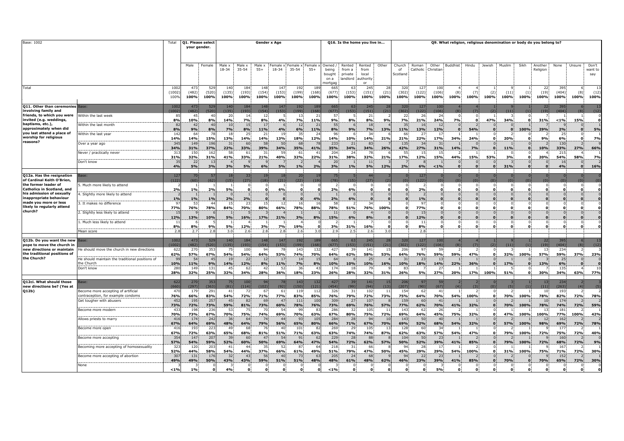| Base: 1002                                                                                                           |                                                              | Total                 | your gender.         | Q1. Please select        | <b>Gender x Age</b>  |                         |                      |                            |                         |                       |                                             | Q16. Is the home you live in            |                                            |                      | Q9. What religion, religious denomination or body do you belong to? |                      |                      |             |                 |             |              |             |                     |                      |             |                         |
|----------------------------------------------------------------------------------------------------------------------|--------------------------------------------------------------|-----------------------|----------------------|--------------------------|----------------------|-------------------------|----------------------|----------------------------|-------------------------|-----------------------|---------------------------------------------|-----------------------------------------|--------------------------------------------|----------------------|---------------------------------------------------------------------|----------------------|----------------------|-------------|-----------------|-------------|--------------|-------------|---------------------|----------------------|-------------|-------------------------|
|                                                                                                                      |                                                              |                       | Male                 | Female                   | Male x<br>18-34      | Male x<br>$35 - 54$     | Male x<br>$55+$      | Female x Female x<br>18-34 | 35-54                   | Female<br>$55+$       | Owned<br>being<br>bought<br>on a<br>nortgag | Rented<br>from a<br>private<br>landlord | Rented<br>from<br>local<br>authority<br>or | Other                | Church<br>of<br>Scotland                                            | Roman<br>Catholic    | Other<br>Christian   | Buddhist    | Hindu           | Jewish      | Muslim       | Sikh        | Another<br>Religion | None                 | Unsure      | Don't<br>want to<br>say |
| Total                                                                                                                |                                                              | 100<br>(1002)<br>100% | 473<br>(482)<br>100% | 52<br>(520)<br>100%      | 140<br>(135)<br>100% | 184<br>(193)<br>100%    | 148<br>(154)<br>100% | 147<br>(153)<br>100%       | 192<br>(199)<br>100%    | 18<br>(168)<br>100%   | 665<br>(677)<br>100%                        | (153)<br>100%                           | 245<br>(151)<br>100%                       | (21)<br>100%         | 320<br>(302)<br>100%                                                | 127<br>(122)<br>100% | 100<br>(106)<br>100% | (8)<br>100% | (7)             | (2)<br>100% | (11)         | (1)<br>100% | 22<br>(19)<br>100%  | 395<br>(404)<br>100% | (8)<br>100% | (12)<br>100%            |
|                                                                                                                      |                                                              |                       |                      |                          |                      |                         |                      |                            |                         |                       |                                             |                                         |                                            |                      |                                                                     |                      |                      |             | 100%            |             | 100%         |             |                     |                      |             |                         |
| Q11. Other than ceremonies Base:                                                                                     |                                                              | 100                   | 473                  | 529                      | 140                  | 184                     | 148                  | 147                        | 192                     | 189                   | 665                                         | 6                                       | 245                                        |                      | 320                                                                 | 127                  | 100                  |             |                 |             |              |             | 22                  | 395                  |             | $\blacksquare$          |
| involving family and<br>friends, to which you were                                                                   | Within the last week                                         | (1002)<br>85          | (482)<br>45          | (520)<br>$\overline{40}$ | (135)<br>20          | (193)<br>1 <sup>2</sup> | (154)<br>12          | (153)                      | (199)<br>13             | (168)<br>2            | (677)<br>57                                 | (153)                                   | (151)<br>21                                | (21)                 | (302)<br>22                                                         | (122)<br>26          | (106)<br>24          | (8)         | (7)             | (2)         | (11)         | (1)         | (19)                | (404)                | (8)         | (12)                    |
| invited (e.g. weddings,                                                                                              |                                                              | 8%                    | 10%                  | 8%                       | 14%                  | 7%                      | 8%                   | 4%                         | 7%                      | 11%                   | 9%                                          | 8%                                      | 8%                                         | 9%                   | 7%                                                                  | 21%                  | 24%                  | 7%          |                 | 47%         | 34%          |             | 31%                 | $< 1\%$              | 15%         |                         |
| baptisms, etc.),                                                                                                     | Vithin the last month                                        | 82                    | 42                   | 40                       | 10                   | 15                      | 17                   |                            | 12                      | 21                    | 55                                          |                                         | 18                                         |                      | 35                                                                  | 16                   | 12                   |             |                 |             |              |             |                     |                      |             |                         |
| approximately when did<br>you last attend a place of                                                                 |                                                              | 8%                    | 9%                   | 8%                       | 7%                   | 8%                      | 11%                  | 4%                         | 6%                      | 11%                   | 8%                                          | 9%                                      | 7%                                         | 13%                  | 11%                                                                 | 13%                  | 12%                  |             | 54%             |             |              | 100%        | 29%                 | 2%                   |             | 5%                      |
| worship for religious                                                                                                | Within the last year                                         | 142<br>14%            | 64<br>14%            | 15%                      | 18<br>13%            | 25<br>14%               | -21<br>14%           | -19<br>13%                 | 18%                     | $\mathbf{2}$<br>12%   | 96<br>14%                                   | 10%                                     | 14%                                        | 21%                  | 66<br>21%                                                           | -27<br>22%           | -13<br>17%           | 34%         | 24%             |             | 20%          |             | 9%                  | 2!<br>6%             |             | 7%                      |
| reasons?                                                                                                             | Over a year ago                                              | 345                   | 149                  | 196                      | 31                   | 60                      | 58                   | -50                        | 68                      | -71                   | 233                                         | 21                                      | 83                                         |                      | 135                                                                 | - 34                 | -31                  |             |                 |             |              |             |                     | 130                  |             |                         |
|                                                                                                                      |                                                              | 34%                   | 31%                  | 37%                      | 22%                  | 33%                     | 39%                  | 34%                        | 35%                     | 41%                   | 35%                                         | 34%                                     | 34%                                        | 26%                  | 42%                                                                 | 27%                  | 31%                  | 14%         | 7%              |             | 11%          |             | 10%                 | 33%                  | 27%         | 66%                     |
|                                                                                                                      | Never / practically never                                    | 31<br>31%             | 150<br>32%           | 162<br>31%               | 58<br>41%            | 61<br>33%               | 31<br>21%            | 59<br>40%                  | 61<br>32%               | $\overline{4}$<br>22% | 204<br>31%                                  | 24<br>38%                               | 78<br>32%                                  | 21%                  | 55<br>17%                                                           | -15<br>12%           | -15<br>15%           | 44%         | 15%             | 53%         | 3%           |             | 20%                 | 215<br>54%           | 58%         | 7%                      |
|                                                                                                                      | Don't know                                                   | 3!                    | 22                   | $-1.7$                   |                      |                         |                      |                            |                         |                       | 20                                          |                                         | 11                                         |                      |                                                                     |                      |                      |             |                 |             |              |             |                     | 16                   |             |                         |
|                                                                                                                      |                                                              | 40/                   | 5%                   | 3%                       | 3%                   | 5%                      | 6%                   | 5%                         | 1 <sub>9</sub>          | 2%                    | 3%                                          | 1%                                      | 5%                                         | 12%                  | 2%                                                                  | 6%                   | $< 1\%$              |             | $\sqrt{2}$      |             | 31%          |             |                     | 4%                   |             | 16%                     |
|                                                                                                                      |                                                              |                       |                      |                          |                      |                         |                      |                            |                         |                       |                                             |                                         |                                            |                      |                                                                     |                      |                      |             |                 |             |              |             |                     |                      |             |                         |
| Q12a. Has the resignation<br>of Cardinal Keith O'Brien,<br>the former leader of<br><b>Catholics in Scotland, and</b> | ase:                                                         | 127<br>(122)          | 70<br>(60)           | 57<br>(62)               | 18<br>(15)           | 33                      | 19<br>(18)           | 18                         | 20 <sub>1</sub><br>(22) | 19                    | 75<br>(78)                                  | (15)                                    | 44 <sup>1</sup><br>(27)                    | (2)                  | (0)                                                                 | 127<br>(122)         |                      | (0)         | $\Omega$<br>(0) | (0)         | (0)          | (0)         | (0)                 | $\Omega$<br>(0)      | (0)         | (0)                     |
|                                                                                                                      | . Much more likely to attend                                 |                       |                      |                          |                      | (27)                    |                      | (21)                       |                         | (19)                  |                                             |                                         |                                            |                      |                                                                     |                      | (0)                  |             |                 |             |              |             |                     |                      |             |                         |
|                                                                                                                      |                                                              | 2%                    | 1%                   | 2%                       | 5%                   |                         |                      | 6%                         |                         |                       | 2%                                          | 6%                                      |                                            |                      |                                                                     | 2%                   |                      |             | $\Omega$        |             |              |             | $\Omega$            |                      |             |                         |
| his admission of sexually                                                                                            | . Slightly more likely to attend                             |                       |                      |                          |                      |                         |                      |                            |                         |                       |                                             |                                         |                                            |                      |                                                                     |                      |                      |             |                 |             |              |             |                     |                      |             |                         |
| inappropriate behaviour<br>made you more or less<br>likely to regularly attend<br>church?                            | 3. It makes no difference                                    | 10<br><sup>Q</sup>    | 1%<br>53             | $\mathbf{A}$             | 2%<br>15             | 2%<br>23                | 15                   | 12                         | 16                      | 40<br>16              | 2%<br>58                                    | 6%                                      | 34                                         |                      |                                                                     | 1%<br>-97            |                      |             | $\Omega$        |             |              |             |                     |                      |             |                         |
|                                                                                                                      |                                                              | 77%                   | 76%                  | 78%                      | 84%                  | 70%                     | 80%                  | 66%                        | 78%                     | 88%                   | 78%                                         | 51%                                     | 76%                                        | 100%                 | 0                                                                   | 77%                  | 0                    |             | $\mathbf{o}$    |             | $\mathbf{o}$ |             | $\mathbf{o}$        |                      | 0           |                         |
|                                                                                                                      | 2. Slightly less likely to attend                            | 15                    |                      |                          |                      |                         |                      |                            |                         |                       | 11                                          |                                         |                                            |                      |                                                                     | 15                   |                      |             |                 |             |              |             |                     |                      |             |                         |
|                                                                                                                      | 1. Much less likely to attend                                | 12%<br>11             | 13%                  | 10%                      | 5%                   | 16%                     | 17%                  | 21%                        | 3%                      | 8%                    | 15%                                         | 6%                                      | 8%                                         |                      |                                                                     | 12%<br>11            |                      |             |                 |             |              |             |                     |                      |             |                         |
|                                                                                                                      |                                                              | 8%                    | 8%                   | 9%                       | 5%                   | 12%                     | 3%                   | 7%                         | 19%                     |                       | 3%                                          | 31%                                     | 16%                                        |                      | $\Omega$                                                            | 8%                   |                      |             |                 |             |              |             |                     |                      |             |                         |
|                                                                                                                      | lean score                                                   | 2.8                   | 2.7                  | 2.8                      | 3.0                  | 2.6                     | 2.8                  | 2.8                        | 2.6                     | 3.0                   | 2.9                                         | 2.5                                     | 2.6                                        | 3.0                  |                                                                     | 2.8                  |                      |             |                 |             |              |             |                     |                      |             |                         |
|                                                                                                                      | ase:                                                         |                       |                      |                          |                      |                         |                      |                            |                         |                       |                                             |                                         |                                            |                      |                                                                     |                      |                      |             |                 |             |              |             | 22                  |                      |             |                         |
| Q12b. Do you want the new<br>pope to move the church in                                                              |                                                              | 1002<br>(1002)        | 473<br>(482)         | 529<br>(520)             | 140<br>(135)         | 184<br>(193)            | 148<br>(154)         | 147<br>(153)               | 192<br>(199)            | 18<br>(168)           | 665<br>(677)                                | 63<br>(153)                             | 245<br>(151)                               | -28<br>(21)          | 320<br>(302)                                                        | 127<br>(122)         | 100<br>(106)         |             | (7)             |             | (11)         |             | (19)                | 395<br>(404)         |             | (12)                    |
| new directions or maintain                                                                                           | le should move the church in new directions                  | 622                   | 270                  | 353                      | 75                   | 100                     | 94                   | 78                         | 143                     | 132                   | 427                                         | 39                                      | 141                                        | 15                   | 206                                                                 | 97                   | 59                   |             |                 |             |              |             | 13                  | 234                  |             |                         |
| the traditional positions of<br>the Church?                                                                          |                                                              | 62%                   | 57%                  | 67%                      | 54%                  | 54%                     | 64%                  | 53%                        | 74%                     | 70%                   | 64%                                         | 62%                                     | 58%                                        | 53%                  | 64%                                                                 | 76%                  | 59%                  | 59%         | 47%             |             | 32%          | 100%        | 57%                 | 59%                  | 37%         | 23%                     |
|                                                                                                                      | le should maintain the traditional positions of<br>he Church | <sup>9</sup><br>10%   | 54<br>11%            | 4 <sup>5</sup><br>9%     | 19<br>14%            | 22<br>12%               | 12<br>8%             | -17<br>11%                 | 14<br>7%                | 15<br>8%              | 64<br>10%                                   | 10%                                     | -25<br>10%                                 | 16%                  | 31<br>10%                                                           | -23<br>18%           | 13<br>14%            | 22%         | 36%             |             | 17%          |             | 13%                 | - 25<br>6%           |             |                         |
|                                                                                                                      | Don't know                                                   | 280                   | 149                  | 131                      | 45                   | 62                      | 42                   | 52                         | 36                      | $-47$                 | 174                                         | 18                                      | 79                                         |                      | 83                                                                  |                      | 27                   |             |                 |             |              |             |                     | 135                  |             |                         |
|                                                                                                                      |                                                              | 28%                   | 32%                  | 25%                      | 32%                  | 34%                     | 28%                  | 36%                        | 18%                     | 23%                   | 26%                                         | 28%                                     | 32%                                        | 31%                  | 26%                                                                 | 5%                   | 27%                  | 20%         | 17%             | 100%        | 51%          |             | 30%                 | 34%                  | 63%         | 77%                     |
| Q12ci. What should those                                                                                             | ase:                                                         | 622                   | 270                  | 353                      | 75                   | 100                     | 94                   | 7s                         | 143                     | 132                   | 427                                         | 39                                      | 141                                        |                      | 206                                                                 | 97                   | 59                   |             |                 |             |              |             | 13                  | 234                  |             |                         |
| new directions be? (Yes at                                                                                           |                                                              | (660)                 | (297)                | (363)                    | (81)                 | (114)                   | (102)                | (92)                       | (150)                   | (121)                 | (454)                                       | (99)                                    | (94)                                       | (13)                 | (207)                                                               | (90)                 | (67)                 | (4)         | (3)             | (0)         | (5)          | (1)         | (11)                | (263)                | (4)         | (5)                     |
| Q12b)                                                                                                                | Become more accepting of artificial                          | 470                   | 179                  | 291                      | 41                   | 72                      | 67                   | 61                         | 119                     | 112                   | 326                                         | -31                                     | 102                                        | -11                  | 154                                                                 | 62                   | 41                   |             |                 |             |              |             | 10                  | 193                  |             |                         |
|                                                                                                                      | contraception, for example condoms                           | 76%                   | 66%                  | 83%<br>257               | 54%<br>45            | 72%                     | 71%                  | 77%<br>4 <sup>7</sup>      | 83%                     | 85%                   | 76%<br>309                                  | 79%                                     | 72%                                        | 73%                  | 75%<br>159                                                          | 64%                  | 70%<br>41            | 54%         | 100%            |             | 70%          | 100%        | 78%                 | 82%                  | 72%         | 78%                     |
|                                                                                                                      | Get tougher with abusers                                     | 452<br>73%            | 195<br>72%           | 73%                      | 59%                  | 82<br>81%               | 69<br>73%            | 60%                        | 111<br>78%              | 100<br>76%            | 73%                                         | 27<br>69%                               | 107<br>76%                                 | 57%                  | 77%                                                                 | 60<br>62%            | 70%                  | 41%         | 32%             |             | 70%          | 100%        | 10<br>78%           | 174<br>74%           | 72%         | 59%                     |
|                                                                                                                      | Become more modern                                           | 43                    | 198                  | 236                      | 53                   | 75                      | 70                   | .54                        | 99                      | 8                     | 286                                         | -32                                     | 105                                        |                      | 143                                                                 | 62                   | 26                   |             |                 |             |              |             | 13                  | 181                  |             |                         |
|                                                                                                                      |                                                              | 70%                   | <b>73%</b>           | 67%                      | 70%                  | 75%                     | 74%                  | 69%                        | 70%                     | 63%                   | 67%                                         | 80%                                     | 75%                                        | 72%                  | 69%                                                                 | 64%                  | 45%                  | 75%         | 32%             |             | 47%          | 100%        | 100%                | 77%                  | 100%        | 42%                     |
|                                                                                                                      | Allows priests to marry                                      | 416<br>67%            | 174<br>64%           | 242<br>69%               | -36<br>48%           | 64<br>64%               | 74<br>79%            | 4 <sup>c</sup><br>56%      | -93<br>65%              | 105<br>80%            | 284<br>66%                                  | 28<br>71%                               | 94<br>67%                                  | $\frac{1}{2}$<br>70% | 143<br>69%                                                          | 50<br>52%            | 40<br>68%            | 54%         | 32%             |             | 57%          | 100%        | 12<br>98%           | 162<br>69%           | 72%         | 78%                     |
|                                                                                                                      | Become more open                                             | 416                   | 193                  | 223                      | 49                   | 68                      | 76                   | 40                         | 101                     | 82                    | 269                                         | - 29                                    | 105                                        | -13                  | 128                                                                 | -60                  | 34                   |             |                 |             |              |             |                     | 17.                  |             |                         |
|                                                                                                                      |                                                              | 67%                   | 72%                  | 63%                      | 65%                  | 68%                     | 81%                  | 51%                        | 71%                     | 63%                   | 63%                                         | 74%                                     | 74%                                        | 87%                  | 62%                                                                 | 63%                  | 57%                  | 54%         | 47%             |             | 79%          | 100%        | 72%                 | 75%                  | 72%         | 40%                     |
|                                                                                                                      | Become more accepting                                        | 354<br>57%            | 147<br>54%           | 207<br>59%               | 39<br>52%            | 60<br>60%               | 47<br>50%            | .54<br>69%                 | 91<br>64%               | -62<br>47%            | 229<br>54%                                  | 28<br>72%                               | 88<br>62%                                  | 57%                  | 104<br>50%                                                          | 50<br>52%            | 23<br>39%            | 41%         | 85%             |             | 79%          | 100%        | 72%                 | 160<br>68%           | 72%         | 9%                      |
|                                                                                                                      | Becoming more accepting of homosexuality                     | 323                   | 120                  | 203                      | 41                   | $\overline{4}$          | 35                   | -52                        | 87                      | 64                    | 218                                         | -31                                     | 66                                         |                      | 94                                                                  | 25                   | -17                  |             |                 |             |              |             |                     | 167                  |             |                         |
|                                                                                                                      |                                                              | 52%                   | 44%                  | 58%                      | 54%                  | 44%                     | 37%                  | 66%                        | 61%                     | 49%                   | 51%                                         | 79%                                     | 47%                                        | 50%                  | 45%                                                                 | 29%                  | 29%                  | 54%         | 100%            |             | 31%          | 100%        | 75%                 | 71%                  | 72%         | 30%                     |
|                                                                                                                      | Become more accepting of abortion                            | 307                   | 131                  | 176                      | 32                   | 4 <sup>7</sup>          | 56                   | $\overline{4}$             | 73                      | 6 <sup>7</sup>        | 205                                         | 2 <sub>6</sub>                          | 68                                         |                      | 94                                                                  |                      | 73                   |             |                 |             |              |             |                     | 152                  |             |                         |
|                                                                                                                      | None                                                         | 49%                   | 49%                  | 50%                      | 43%                  | 43%                     | 59%                  | 51%                        | 51%                     | 48%                   | 48%                                         | 61%                                     | 48%                                        | 62%                  | 46%                                                                 | 23%                  | 39%                  |             | 85%             |             | 70%          |             | 70%                 | 65%                  | 72%         | 30%                     |
|                                                                                                                      |                                                              | 19/                   | 10/                  |                          | A <sub>0</sub>       |                         |                      |                            |                         |                       | $-10/$                                      |                                         |                                            |                      | $\mathbf{r}$                                                        |                      | 50/                  |             |                 |             |              |             |                     |                      |             |                         |